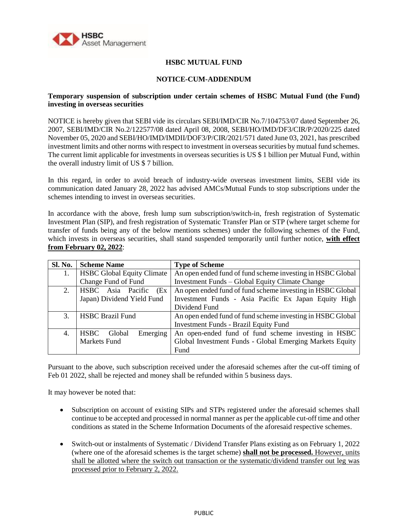

## **HSBC MUTUAL FUND**

## **NOTICE-CUM-ADDENDUM**

## **Temporary suspension of subscription under certain schemes of HSBC Mutual Fund (the Fund) investing in overseas securities**

NOTICE is hereby given that SEBI vide its circulars SEBI/IMD/CIR No.7/104753/07 dated September 26, 2007, SEBI/IMD/CIR No.2/122577/08 dated April 08, 2008, SEBI/HO/IMD/DF3/CIR/P/2020/225 dated November 05, 2020 and SEBI/HO/IMD/IMDII/DOF3/P/CIR/2021/571 dated June 03, 2021, has prescribed investment limits and other norms with respect to investment in overseas securities by mutual fund schemes. The current limit applicable for investments in overseas securities is US \$ 1 billion per Mutual Fund, within the overall industry limit of US \$ 7 billion.

In this regard, in order to avoid breach of industry-wide overseas investment limits, SEBI vide its communication dated January 28, 2022 has advised AMCs/Mutual Funds to stop subscriptions under the schemes intending to invest in overseas securities.

In accordance with the above, fresh lump sum subscription/switch-in, fresh registration of Systematic Investment Plan (SIP), and fresh registration of Systematic Transfer Plan or STP (where target scheme for transfer of funds being any of the below mentions schemes) under the following schemes of the Fund, which invests in overseas securities, shall stand suspended temporarily until further notice, **with effect from February 02, 2022**:

| Sl. No. | <b>Scheme Name</b>                | <b>Type of Scheme</b>                                      |
|---------|-----------------------------------|------------------------------------------------------------|
| 1.      | <b>HSBC Global Equity Climate</b> | An open ended fund of fund scheme investing in HSBC Global |
|         | Change Fund of Fund               | <b>Investment Funds – Global Equity Climate Change</b>     |
| 2.      | HSBC Asia Pacific<br>(Ex.         | An open ended fund of fund scheme investing in HSBC Global |
|         | Japan) Dividend Yield Fund        | Investment Funds - Asia Pacific Ex Japan Equity High       |
|         |                                   | Dividend Fund                                              |
| 3.      | <b>HSBC Brazil Fund</b>           | An open ended fund of fund scheme investing in HSBC Global |
|         |                                   | <b>Investment Funds - Brazil Equity Fund</b>               |
| 4.      | Emerging<br><b>HSBC</b><br>Global | An open-ended fund of fund scheme investing in HSBC        |
|         | <b>Markets Fund</b>               | Global Investment Funds - Global Emerging Markets Equity   |
|         |                                   | Fund                                                       |

Pursuant to the above, such subscription received under the aforesaid schemes after the cut-off timing of Feb 01 2022, shall be rejected and money shall be refunded within 5 business days.

It may however be noted that:

- Subscription on account of existing SIPs and STPs registered under the aforesaid schemes shall continue to be accepted and processed in normal manner as per the applicable cut-off time and other conditions as stated in the Scheme Information Documents of the aforesaid respective schemes.
- Switch-out or instalments of Systematic / Dividend Transfer Plans existing as on February 1, 2022 (where one of the aforesaid schemes is the target scheme) **shall not be processed.** However, units shall be allotted where the switch out transaction or the systematic/dividend transfer out leg was processed prior to February 2, 2022.